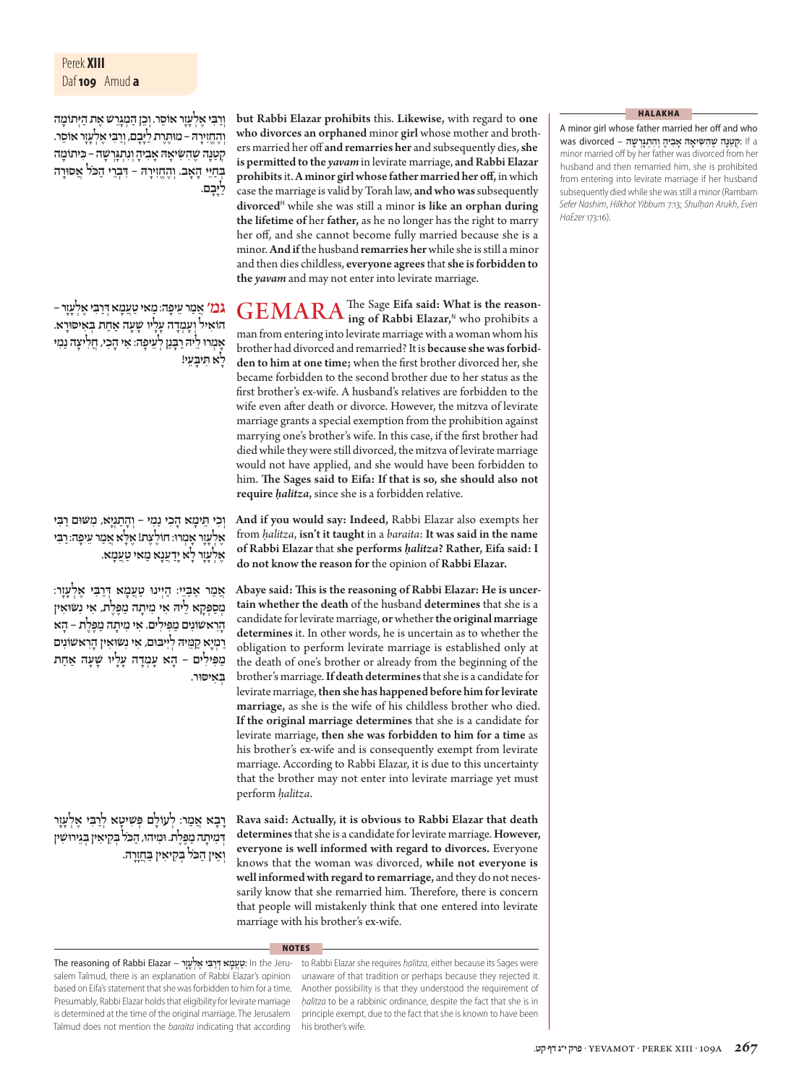**ְוַרִּבי ֶאְלָעָזר ֵאוֹסר. ְוֵכן ַה ְמָגֵרׁש ֶאת ַהְיּ ָתוֹמה ְוֶהֱחִזָירּה – ּמו ֶּתֶרת ַלָיָּבם, ְוַרִּבי ֶאְלָעָזר ֵאוֹסר. ּכ ָ יתוֹמה ְקַטָּנה ֶׁש ִה ִּׂש ָיא ּה ָא ִב ָיה ְוִנְתָּגְרָׁשה – ִ ְּבַחֵיּי ָהָאב. ְוֶהֱחִזָירּה – ִ ּד ְבֵרי ַה ּכֹל ֲא ּסוָרה ַלָיָּבם.**

<mark>גב⁄ו' אֲמַר עֵיפָה: מַאי טַעֲמָא דְּרַבִּי אֶלְ</mark><br>הוֹאיל ועמדה עליו שעה אחת באינ **ָא ְמ ּרו ֵל ּיהַרָּבַנן ְלֵע ָיפה: ִאי ָה ִכי, ֲח ִל ָיצה ַנִמי ָלא ִּת ָּיבֵעי!**

**ְו ִכי ֵּת ָימא ָה ִכי ַנ ִמי – ְוָהַתְנָיא, ִמּׁשּום ַרִּבי ֶאְלָעָזר ָא ְמ ּרו: ֶחוֹלֶצת! ֶאָּלאֲאַמר ֵע ָיפה: ַרִּבי ֶאְלָעָזרָלאָיַדֲעָנא ַמאי ַטֲעָמא.**

**ֲאַמר ַאַּבֵיי: ַהְי ּ ינו ַטֲעָמא ְ ּדַרִּבי ֶא ְלָעָזר: ְמַסְּפָקא ֵל ּיה ִאי ִמ ָיתה ַמֶּפֶלת, ִאי ִנּ ׂשּו ִאין ָהִר ׁאש ִוֹנים ַמִּפ ִילים. ִאי ִמ ָיתה ַמֶּפֶלת – ָהא ַרְמָיא ַק ֵּמ ּיה ְלִי ּיבּום, ִאי ִנּ ׂשּו ִאין ָהִר ׁאש ִוֹנים ַמ ִּפ ִילים – ָהא ָע ְמָדה ָעָליו ָׁשָעה ַאַחת ְּב ִא ּיסּור.**

**ָרָבא ֲאַמר: ְל ָעוֹלם ְּפׁ ִש ָיטא ְלַרִּבי ֶאְלָעָזר ְ ּד ִמ ָיתה ַמֶּפֶלת. ּו ִמ ּ יהו, ַה ּכֹל ְּב ִק ִיאין ְּבֵג ּ ירו ׁ ִשין ְוֵאין ַה ּכֹל ְּב ִק ִיאין ַּבֲחָזָרה.**  **but Rabbi Elazar prohibits** this. **Likewise,** with regard to **one who divorces an orphaned** minor **girl** whose mother and brothers married her off **and remarries her** and subsequently dies, **she is permitt ed to the** *yavam* in levirate marriage, **and Rabbi Elazar prohibits** it. **A minor girl whose father married her off ,** in which case the marriage is valid by Torah law, **and who was** subsequently divorced<sup>H</sup> while she was still a minor is like an orphan during **the lifetime of** her **father,** as he no longer has the right to marry her off, and she cannot become fully married because she is a minor. **And if** the husband **remarries her** while she is still a minor and then dies childless, **everyone agrees** that**she is forbidden to the** *yavam* and may not enter into levirate marriage.

 $\widetilde{GEMARA}^{\text{The Sage Eifa said: What is the reason-}}$ man from entering into levirate marriage with a woman whom his brother had divorced and remarried? It is **because she was forbid**den to him at one time; when the first brother divorced her, she became forbidden to the second brother due to her status as the first brother's ex-wife. A husband's relatives are forbidden to the wife even after death or divorce. However, the mitzva of levirate marriage grants a special exemption from the prohibition against marrying one's brother's wife. In this case, if the first brother had died while theywere still divorced, the mitzva of levirate marriage would not have applied, and she would have been forbidden to him. **Th e Sages said to Eifa: If that is so, she should also not require** *ĥalitza***,** since she is a forbidden relative.

**And if you would say: Indeed,** Rabbi Elazar also exempts her from *ĥalitza*, **isn't it taught** in a *baraita*: **It was said in the name of Rabbi Elazar** that **she performs** *ĥalitza***? Rather, Eifa said: I do not know the reason for** the opinion of **Rabbi Elazar.**

**Abaye said: Th is is the reasoning of Rabbi Elazar: He is uncertain whether the death** of the husband **determines** that she is a candidate for levirate marriage, **or** whether **the original marriage determines** it. In other words, he is uncertain as to whether the obligation to perform levirate marriage is established only at the death of one's brother or already from the beginning of the brother's marriage. **If death determines** that she is a candidate for levirate marriage, **then she has happened before him for levirate marriage,** as she is the wife of his childless brother who died. **If the original marriage determines** that she is a candidate for levirate marriage, **then she was forbidden to him for a time** as his brother's ex-wife and is consequently exempt from levirate marriage. According to Rabbi Elazar, it is due to this uncertainty that the brother may not enter into levirate marriage yet must perform *ĥalitza*.

**Rava said: Actually, it is obvious to Rabbi Elazar that death determines** that she is a candidate for levirate marriage. **However, everyone is well informed with regard to divorces.** Everyone knows that the woman was divorced, **while not everyone is well informed with regard to remarriage,** and they do not necessarily know that she remarried him. Therefore, there is concern that people will mistakenly think that one entered into levirate marriage with his brother's ex-wife.

### **NOTES**

 The reasoning of Rabbi Elazar – **זרָעָלְאֶ ביִּרַדּ ְ מאָעֲטַ**: In the Jerusalem Talmud, there is an explanation of Rabbi Elazar's opinion based on Eifa's statement that she was forbidden to him for a time. Presumably, Rabbi Elazar holds that eligibility for levirate marriage is determined at the time of the original marriage. The Jerusalem Talmud does not mention the *baraita* indicating that according

to Rabbi Elazar she requires *ĥalitza*, either because its Sages were unaware of that tradition or perhaps because they rejected it. Another possibility is that they understood the requirement of *ĥalitza* to be a rabbinic ordinance, despite the fact that she is in principle exempt, due to the fact that she is known to have been his brother's wife.

### **HALAKHA**

 A minor girl whose father married her off and who a If : **ְקַטָּנה ֶׁש ִה ִּׂש ָיא ּה ָא ִב ָיה ְו ִה ְתָּגְרָׁשה** – divorced was minor married off by her father was divorced from her husband and then remarried him, she is prohibited from entering into levirate marriage if her husband subsequently died while she was still a minor (Rambam *Sefer Nashim*, *Hilkhot Yibbum* 7:13; *Shulĥan Arukh*, *Even HaEzer* 173:16).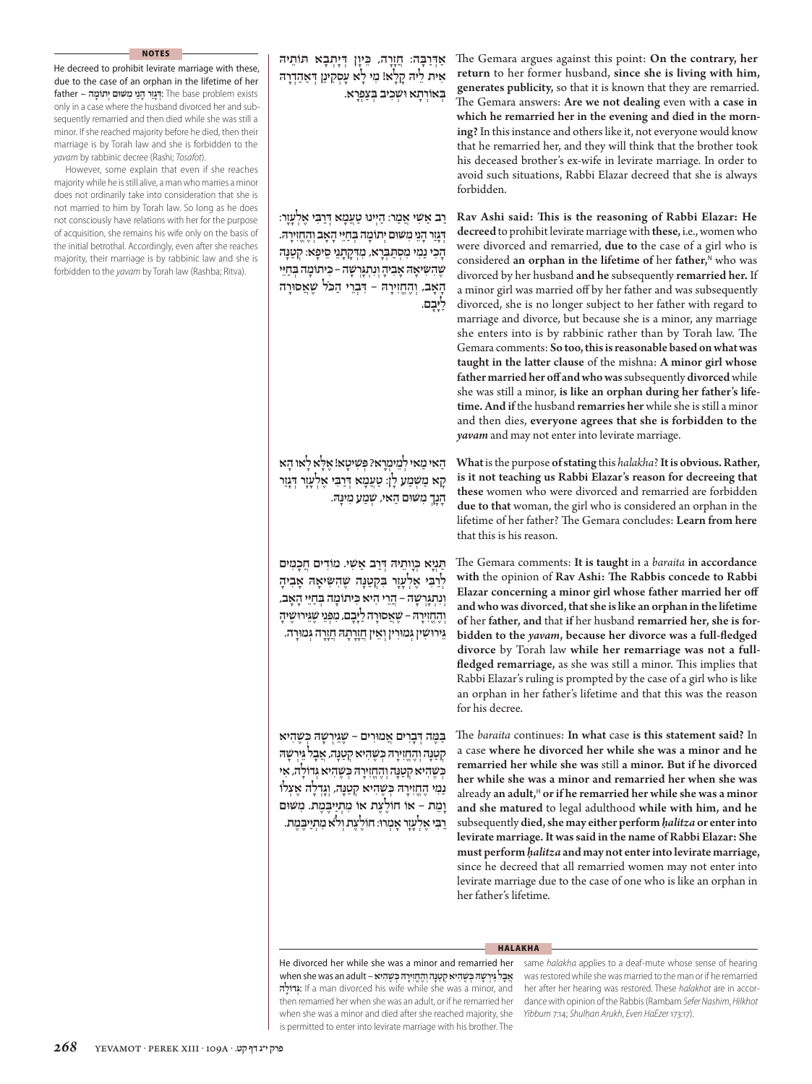| <b>NOTES</b>                                                                                                                                                                                                                                                                                                                                                                                                                                                                                                                                                                                                                                                                                                                                                                                                                                                                                                                                                                                                           |                                                                                                                                                                                                                                                                                                                                                                        |                                                                                                                                                                                                                                                                                                                                                                                                                                                                                                                                                                                                                                                                                                                                                                                                                                                                                                                                                                                                                                                                                      |
|------------------------------------------------------------------------------------------------------------------------------------------------------------------------------------------------------------------------------------------------------------------------------------------------------------------------------------------------------------------------------------------------------------------------------------------------------------------------------------------------------------------------------------------------------------------------------------------------------------------------------------------------------------------------------------------------------------------------------------------------------------------------------------------------------------------------------------------------------------------------------------------------------------------------------------------------------------------------------------------------------------------------|------------------------------------------------------------------------------------------------------------------------------------------------------------------------------------------------------------------------------------------------------------------------------------------------------------------------------------------------------------------------|--------------------------------------------------------------------------------------------------------------------------------------------------------------------------------------------------------------------------------------------------------------------------------------------------------------------------------------------------------------------------------------------------------------------------------------------------------------------------------------------------------------------------------------------------------------------------------------------------------------------------------------------------------------------------------------------------------------------------------------------------------------------------------------------------------------------------------------------------------------------------------------------------------------------------------------------------------------------------------------------------------------------------------------------------------------------------------------|
| He decreed to prohibit levirate marriage with these,<br>due to the case of an orphan in the lifetime of her<br>father – יִדְגַוֵּר דָּנֵי מְשׁוּם יְתוֹמֵה (The base problem exists<br>only in a case where the husband divorced her and sub-<br>sequently remarried and then died while she was still a<br>minor. If she reached majority before he died, then their<br>marriage is by Torah law and she is forbidden to the<br>yavam by rabbinic decree (Rashi; Tosafot).<br>However, some explain that even if she reaches<br>majority while he is still alive, a man who marries a minor<br>does not ordinarily take into consideration that she is<br>not married to him by Torah law. So long as he does<br>not consciously have relations with her for the purpose<br>of acquisition, she remains his wife only on the basis of<br>the initial betrothal. Accordingly, even after she reaches<br>majority, their marriage is by rabbinic law and she is<br>forbidden to the yavam by Torah law (Rashba; Ritva). | אַדְּרַבָּה: חֲזֶרָה, כֵּיְוָן דְיָתְבָא תּוֹתֵיהּ<br>אִית לֵיהּ קָלָא! מִי לָא עָסְקִינַן דְּאַהַדְרָהּ<br>בְּאוֹרְהָא וּשְׁכִיב בְּצַפְרָא.                                                                                                                                                                                                                          | The Gemara argues against this point: On the contrary, her<br>return to her former husband, since she is living with him,<br>generates publicity, so that it is known that they are remarried.<br>The Gemara answers: Are we not dealing even with a case in<br>which he remarried her in the evening and died in the morn-<br>ing? In this instance and others like it, not everyone would know<br>that he remarried her, and they will think that the brother took<br>his deceased brother's ex-wife in levirate marriage. In order to<br>avoid such situations, Rabbi Elazar decreed that she is always<br>forbidden.                                                                                                                                                                                                                                                                                                                                                                                                                                                             |
|                                                                                                                                                                                                                                                                                                                                                                                                                                                                                                                                                                                                                                                                                                                                                                                                                                                                                                                                                                                                                        | ַרַב אַשִׁי אֲמַר: הַיְינוּ טַעֲמָא דְּרַבִּי אֶלְעָזָר:<br>דִּגְוַר הָנֵי מִשׁוּם יְתוֹמָה בְּחַיֵּי הָאָב וְהֶחֱזִירָהּ.<br>הָכִי נַמִי מִסְתַּבְּרָא, מִדְקָתָנֵי סֵיפָא: קְטַנָּה<br>שֶׁהִשִּיאָהּ אָבִיהָ וְנִתְגָּרְשָׁה – כִּי <mark>ְתוֹמָה בְּחַיֵּי</mark><br>הָאָב, וְהֶחֱזִירָהּ – דִּבְרֵי הַכֹּלֹ שֵׁאֲסוּרַה<br>ליבם.                                   | Rav Ashi said: This is the reasoning of Rabbi Elazar: He<br>decreed to prohibit levirate marriage with these, i.e., women who<br>were divorced and remarried, due to the case of a girl who is<br>considered an orphan in the lifetime of her father, <sup>N</sup> who was<br>divorced by her husband and he subsequently remarried her. If<br>a minor girl was married off by her father and was subsequently<br>divorced, she is no longer subject to her father with regard to<br>marriage and divorce, but because she is a minor, any marriage<br>she enters into is by rabbinic rather than by Torah law. The<br>Gemara comments: So too, this is reasonable based on what was<br>taught in the latter clause of the mishna: A minor girl whose<br>father married her off and who was subsequently divorced while<br>she was still a minor, is like an orphan during her father's life-<br>time. And if the husband remarries her while she is still a minor<br>and then dies, everyone agrees that she is forbidden to the<br>yavam and may not enter into levirate marriage. |
|                                                                                                                                                                                                                                                                                                                                                                                                                                                                                                                                                                                                                                                                                                                                                                                                                                                                                                                                                                                                                        | הַאי מַאי לְמֵימְרָא? פִּשִּׁיטָא! אֶלָּא לָאו הָא<br>קָא מַשְּׁמַע לְן: טַעֲמָא דְּרַבִּי אֶלְעָזָר דְּגָזַר<br>הַנָּךָ מְשׁוּם הַאי, שְׁמַע מִינַּהּ.                                                                                                                                                                                                                | What is the purpose of stating this halakha? It is obvious. Rather,<br>is it not teaching us Rabbi Elazar's reason for decreeing that<br>these women who were divorced and remarried are forbidden<br>due to that woman, the girl who is considered an orphan in the<br>lifetime of her father? The Gemara concludes: Learn from here<br>that this is his reason.                                                                                                                                                                                                                                                                                                                                                                                                                                                                                                                                                                                                                                                                                                                    |
|                                                                                                                                                                                                                                                                                                                                                                                                                                                                                                                                                                                                                                                                                                                                                                                                                                                                                                                                                                                                                        | תַּנְיָא כְּוָוְתִיהּ דְּרַב אֲשִׁי. מוֹדִים חֲכָמִים<br>לְרַבִּי אֶלְעָזֶר בִּקְטַנָּה שֶׁהָשִׂיאָהּ אָבִיהָ<br>וְנִתְגַּרְשָׁה – הֲרֵי הִיא כִּיתוֹמֶה בְּחַיֵּי הָאָב,<br>וְהֶחֱזִירָה – שֶׁאֲסוּרָה לַ <b>יְבָם, מִפְּגֵי שֶׁגֵּירוּשֶׁיהָ</b><br>גִּירוּשִׁין גְּמוּרִין וְאֵין חֲזְרָתָהּ חֲזֶרָה גְּמוּרָה.                                                     | The Gemara comments: It is taught in a baraita in accordance<br>with the opinion of Rav Ashi: The Rabbis concede to Rabbi<br>Elazar concerning a minor girl whose father married her off<br>and who was divorced, that she is like an orphan in the lifetime<br>of her father, and that if her husband remarried her, she is for-<br>bidden to the yavam, because her divorce was a full-fledged<br>divorce by Torah law while her remarriage was not a full-<br>fledged remarriage, as she was still a minor. This implies that<br>Rabbi Elazar's ruling is prompted by the case of a girl who is like<br>an orphan in her father's lifetime and that this was the reason<br>for his decree.                                                                                                                                                                                                                                                                                                                                                                                        |
|                                                                                                                                                                                                                                                                                                                                                                                                                                                                                                                                                                                                                                                                                                                                                                                                                                                                                                                                                                                                                        | בַּמֶּה דְּבָרִים אֲמוּרִים – שֶׁגֵּירִשָּׁהּ כִּשֶּׁהִיא<br>קְטַנָּה וְהֶחֱזִירָהּ כִּשֶּׁהִיא קְטַנָּה, אֲבָל גֵּירִשָּׁהּ<br>בְּשֶׁהִיא קְטַנָּה וְהֶחֱזִירָהּ בְּשֶׁהִיא גִּדוֹלֵה, אִי<br>נַמִי הֶחֱזִירָהּ כְּשֶׁהִיא קְטַנָּה, וְגָדְלָה אֶצְלוֹ<br>וָמֵת - אוֹ חוֹלֶצֶת אוֹ מִתְיַיַבֶּמֶת. מִשּׁוּם<br>רַבִּי אֶלְעָזֶר אָמְרוּ: חוֹלֶצֶת וִלֹא מִתְיַבֵּמֵת. | The <i>baraita</i> continues: In what case is this statement said? In<br>a case where he divorced her while she was a minor and he<br>remarried her while she was still a minor. But if he divorced<br>her while she was a minor and remarried her when she was<br>already an adult, <sup>H</sup> or if he remarried her while she was a minor<br>and she matured to legal adulthood while with him, and he<br>subsequently died, she may either perform halitza or enter into<br>levirate marriage. It was said in the name of Rabbi Elazar: She<br>must perform halitza and may not enter into levirate marriage,<br>since he decreed that all remarried women may not enter into<br>levirate marriage due to the case of one who is like an orphan in<br>her father's lifetime.                                                                                                                                                                                                                                                                                                   |

## **HALAKHA**

He divorced her while she was a minor and remarried her same halakha applies to a deaf-mute whose sense of hearing when she was an adult – **היאִ שֶׁכּ ּכֶׁש ִהיא ְקַטָּנהְוֶהֱחִזָירּה ְ ֲאָבלֵּג ְירָׁש ּה ְ דוֹלהָ גְּ**: If a man divorced his wife while she was a minor, and then remarried her when she was an adult, or if he remarried her when she was a minor and died after she reached majority, she is permitted to enter into levirate marriage with his brother. The

was restored while she was married to the man or if he remarried her after her hearing was restored. These *halakhot* are in accordance with opinion of the Rabbis (Rambam *Sefer Nashim*, *Hilkhot Yibbum* 7:14; *Shulĥan Arukh*, *Even HaEzer* 173:17).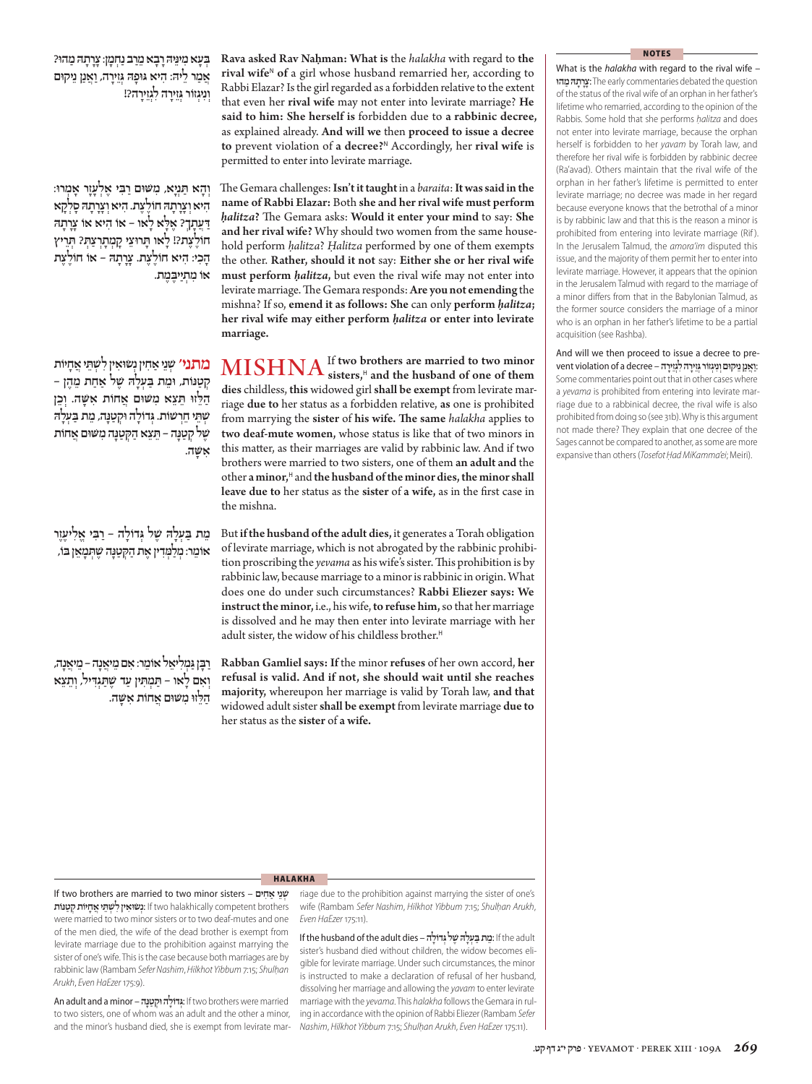**ְּבָעא ִמ ֵּינ ּיהָרָבא ֵמַרבַנ ְחָמן: ָצָרָת ּה ַמ ּהו? ֲאַמר ֵל ּיה: ִהיא ּגּוָפ ּה ְּגֵזָירה, ַוֲאַנן ֵנ ּ יקום ְוִנ ְיגזוֹר ְּגֵזָירה ִלְגֵזָירה?!** 

**ְוָהא ַּתְנָיא, ִמּׁשּום ַרִּבי ֶאְלָעָזר ָא ְמ ּרו: ִהיאְוָצָרָת ּה ֶחוֹלֶצת. ִהיאְוָצָרָת ּה ָסְלָקא ַּדֲעָת ְך? ֶאָּלא ָלאו – אוֹ ִהיא אוֹ ָצָרָת ּה ֶחוֹלֶצת?! ָלאו ָּת ּרוֵצי ָק ְמָתְרַצ ְּת? ְּתֵריץ ָה ִכי: ִהיא ֶחוֹלֶצת. ָצָרָת ּה – אוֹ ֶחוֹלֶצת אוֹ ִמ ְתַי ֶּיבֶמת.**

<mark>מתני'</mark> שְׁנֵי אַחִין נְשׂוּאִין לִשְּׁתֵּי אֲחָיוֹת<br>קטַנּוֹת, וּמֵת בַּעְלֵהּ שֵׁל אָחַת מֵהֵן – **ּל ּזו ֵּתֵצא ִמּׁשּום ֲאחוֹת ִאָּׁשה. ְוֵכן ַהֵ ׁ ְשֵּתי ֵחְרׁשוֹת. ְּג ָדוֹלה ּו ְקַטָּנה, ֵמת ַּב ְעָל ּה ֶׁשל ְקַטָּנה – ֵּתֵצא ַה ְּקַטָּנה ִמּׁשּום ֲאחוֹת ִאָּׁשה.** 

**ֵמת ַּב ְעָל ּה ֶׁשל ְּג ָדוֹלה – ַרִּבי ֱאִל ֶיעֶזר ֵאוֹמר: ְמַל ְּמִדין ֶאת ַה ְּקַטָּנה ֶׁשְּתָמֵאן ּבוֹ,** 

**ַרָּבןַּג ְמִל ֵיאל ֵאוֹמר: ִאם ֵמ ֲיאָנה – ֵמ ֲיאָנה, ְו ִאם ָלאו – ַּת ְמ ִּתין ַעד ֶׁשַּתְגִ ּדיל, ְוֵתֵצא ַהֵּל ּזו ִמּׁשּום ֲאחוֹת ִאָּׁשה.** 

**Rava asked Rav Naĥman: What is** the *halakha* with regard to **the**  rival wife<sup>N</sup> of a girl whose husband remarried her, according to Rabbi Elazar? Is the girl regarded as a forbidden relative to the extent that even her **rival wife** may not enter into levirate marriage? **He said to him: She herself is** forbidden due to **a rabbinic decree,**  as explained already. **And will we** then **proceed to issue a decree**  to prevent violation of a decree?<sup>N</sup> Accordingly, her rival wife is permitted to enter into levirate marriage.

The Gemara challenges: Isn't it taught in a *baraita*: It was said in the **name of Rabbi Elazar:** Both **she and her rival wife must perform**  *halitza*? The Gemara asks: Would it enter your mind to say: She **and her rival wife?** Why should two women from the same household perform *ĥalitza*? *Ĥalitza* performed by one of them exempts the other. **Rather, should it not** say: **Either she or her rival wife must perform** *ĥalitza***,** but even the rival wife may not enter into levirate marriage. The Gemara responds: Are you not emending the mishna? If so, **emend it as follows: She** can only **perform** *ĥalitza***; her rival wife may either perform** *ĥalitza* **or enter into levirate marriage.** 

 $\bf{MISHNA}^{\text{If two brothers are married to two minor}$   $\bf{MISHNA}^{\text{If two brothers are married to two minor}$ **dies** childless, **this** widowed girl **shall be exempt** from levirate marriage **due to** her status as a forbidden relative, **as** one is prohibited from marrying the **sister** of **his wife. Th e same** *halakha* applies to **two deaf-mute women,** whose status is like that of two minors in this matter, as their marriages are valid by rabbinic law. And if two brothers were married to two sisters, one of them **an adult and** the other **a minor,**<sup>H</sup>and **the husband of the minor dies, the minor shall**  leave due to her status as the sister of a wife, as in the first case in the mishna.

But **if the husband of the adult dies,** it generates a Torah obligation of levirate marriage, which is not abrogated by the rabbinic prohibition proscribing the *yevama* as his wife's sister. This prohibition is by rabbinic law, because marriage to a minor is rabbinic in origin. What does one do under such circumstances? **Rabbi Eliezer says: We instruct the minor,** i.e., his wife, **to refuse him,** so that her marriage is dissolved and he may then enter into levirate marriage with her adult sister, the widow of his childless brother.<sup>H</sup>

**Rabban Gamliel says: If** the minor **refuses** of her own accord, **her refusal is valid. And if not, she should wait until she reaches majority,** whereupon her marriage is valid by Torah law, **and that**  widowed adult sister **shall be exempt** from levirate marriage **due to**  her status as the **sister** of **a wife.**

# **NOTES**

 What is the *halakha* with regard to the rival wife – question the debated commentaries early The **ָ**:**צָרָת ּה ַמ ּהו** of the status of the rival wife of an orphan in her father's lifetime who remarried, according to the opinion of the Rabbis. Some hold that she performs *ĥalitza* and does not enter into levirate marriage, because the orphan herself is forbidden to her *yavam* by Torah law, and therefore her rival wife is forbidden by rabbinic decree (Ra'avad). Others maintain that the rival wife of the orphan in her father's lifetime is permitted to enter levirate marriage; no decree was made in her regard because everyone knows that the betrothal of a minor is by rabbinic law and that this is the reason a minor is prohibited from entering into levirate marriage (Rif ). In the Jerusalem Talmud, the *amora'im* disputed this issue, and the majority of them permit her to enter into levirate marriage. However, it appears that the opinion in the Jerusalem Talmud with regard to the marriage of a minor differs from that in the Babylonian Talmud, as the former source considers the marriage of a minor who is an orphan in her father's lifetime to be a partial acquisition (see Rashba).

 And will we then proceed to issue a decree to prevent violation of a decree – **ירהָזֵגְלִ ירהָזֵגְּ יגזוֹרְ נִוְיקום ּ נֵנןַאֲוַ**: Some commentaries point out that in other cases where a *yevama* is prohibited from entering into levirate marriage due to a rabbinical decree, the rival wife is also prohibited from doing so (see 31b). Why is this argument not made there? They explain that one decree of the Sages cannot be compared to another, as some are more expansive than others (*Tosefot Ĥad MiKamma'ei*;Meiri).

### **HALAKHA**

 If two brothers are married to two minor sisters – **חיםִ אַ ניֵשְ ׁ** brothers competent halakhically two If **ְ**:**נ ׂשּו ִאין ִל ׁ ְשֵּתיֲאָחיוֹת ְקַטּנוֹת** were married to two minor sisters or to two deaf-mutes and one of the men died, the wife of the dead brother is exempt from levirate marriage due to the prohibition against marrying the sister of one's wife. This is the case because both marriages are by rabbinic law (Rambam *Sefer Nashim*, *Hilkhot Yibbum* 7:15; *Shulĥan Arukh*, *Even HaEzer* 175:9).

 An adult and a minor – **נהָּטַקְ וּ דוֹלהָ גְּ**: If two brothers were married to two sisters, one of whom was an adult and the other a minor, and the minor's husband died, she is exempt from levirate mar-

riage due to the prohibition against marrying the sister of one's wife (Rambam *Sefer Nashim*, *Hilkhot Yibbum* 7:15; *Shulĥan Arukh*, *Even HaEzer* 175:11).

 If the husband of the adult dies – **דוֹלהָ גְּ שלֶׁ הּ לָעְ בַּ מתֵ**: If the adult sister's husband died without children, the widow becomes eligible for levirate marriage. Under such circumstances, the minor is instructed to make a declaration of refusal of her husband, dissolving her marriage and allowing the *yavam* to enter levirate marriage with the *yevama*. This *halakha* follows the Gemara in ruling in accordance with the opinion of Rabbi Eliezer (Rambam *Sefer Nashim*, *Hilkhot Yibbum* 7:15; *Shulĥan Arukh*, *Even HaEzer* 175:11).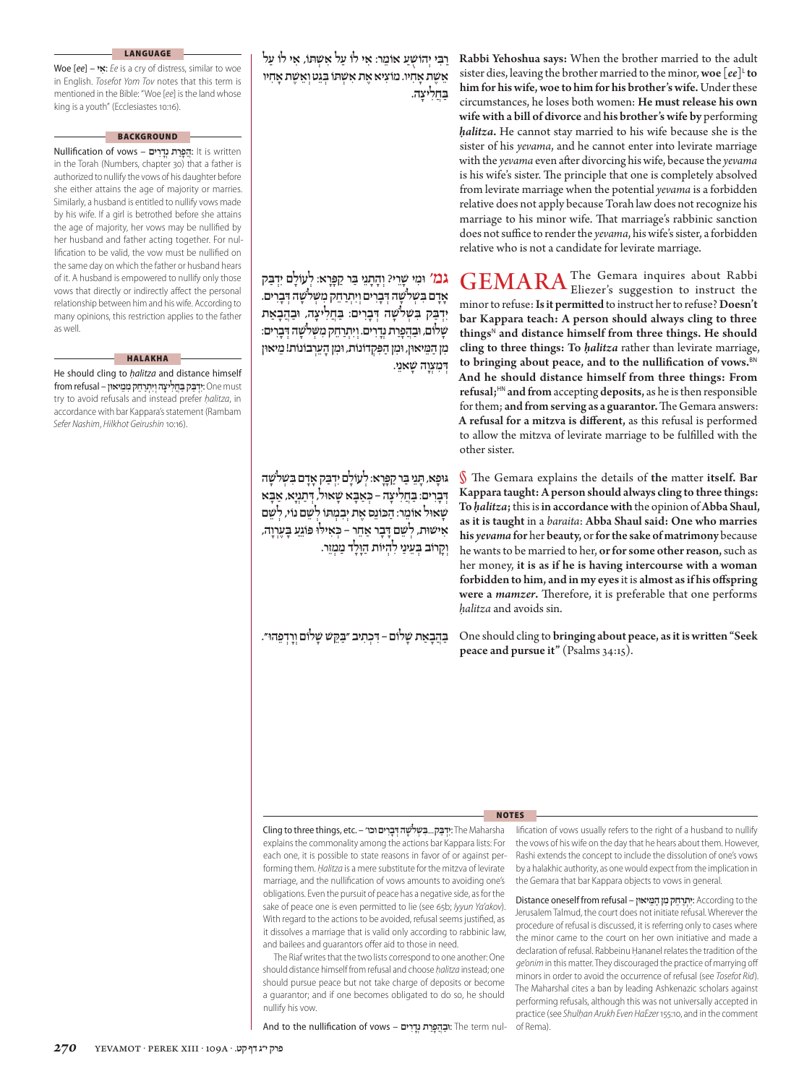## **LANGUAGE**

 Woe [*ee*] – **איִ** : *Ee* is a cry of distress, similar to woe in English. *Tosefot Yom Tov* notes that this term is mentioned in the Bible: "Woe [*ee*] is the land whose king is a youth" (Ecclesiastes 10:16).

## **BACKGROUND**

**Nullification of vows – יְהֵפֵרֶת גְדַרִים** It is written in the Torah (Numbers, chapter 30) that a father is authorized to nullify the vows of his daughter before she either attains the age of majority or marries. Similarly, a husband is entitled to nullify vows made by his wife. If a girl is betrothed before she attains the age of majority, her vows may be nullified by her husband and father acting together. For nullification to be valid, the vow must be nullified on the same day on which the father or husband hears of it. A husband is empowered to nullify only those vows that directly or indirectly affect the personal relationship between him and his wife. According to many opinions, this restriction applies to the father as well.

 He should cling to *ĥalitza* and distance himself must One **ִ**:**יְדַּבק ַּבֲחִל ָיצהְוִי ְתַרֵחק ִמֵמ ּ יאון** – refusal from try to avoid refusals and instead prefer *ĥalitza*, in accordance with bar Kappara's statement (Rambam *Sefer Nashim*, *Hilkhot Geirushin* 10:16).

**HALAKHA**

**ַרִּבי ְי ֻׁ הוֹשע ֵאוֹמר: ִאי לוֹ ַעל ִאׁ ְשּתוֹ, ִאי לוֹ ַעל ֵאֶׁשת ָא ִחיו. ִמוֹציא ֶאת ִאׁ ְשּתוֹ ְּבֵגט ְוֵאֶׁשת ָא ִחיו ַּבֲח ִל ָיצה.**

<mark>גֹמ</mark>׳ וּמִי שָרֵי? וְהָתָנֵי בַּר קַפָּרָא: לְעוֹלָם יִדְבַּק<br>אדם בּשׁלֹשה דּברים ויתרחק משלֹשה דּברים. **ִיְדַּבק ִּבׁ ְשלֹ ָׁשה ְ ּדָבִרים: ַּבֲח ִל ָיצה, ּוַבֲהָבַאת ָׁשלוֹם, ּוַבֲהָפַרת ְנָדִרים. ְוִי ְתַרֵחק ִמְּׁשלֹ ָׁשה ְ ּדָבִרים: ִמן ַה ֵּמ ּ יאון, ּו ִמן ַהִּפ ְקדוֹנוֹת, ּו ִמן ָהֵעְרבוֹנוֹת! ֵמ ּ יאון ְ ּד ִמ ְצָוה ָׁש ֵאני.**

**ּגּוָפא, ָּתֵני ַּברַקָּפָרא: ְל ָעוֹלם ִיְדַּבק ָאָדם ִּבׁ ְשלֹ ָׁשה ּכַאָּבא ָׁש ּאול, ְ ּדַתְנָיא, ַאָּבא ְ ּדָבִרים: ַּבֲח ִל ָיצה – ְ ָׁש ּאול ֵאוֹמר: ַה ּכ ֵוֹנס ֶאת ְי ִב ְמ ּתוֹ ְל ֵׁשם נוֹי, ְל ֵׁשם ּכ ִא ּילּו ּפ ֵוֹגע ָּבֶעְרָוה, ִא ׁישּות, ְל ֵׁשםָּדָבר ַאֵחר – ְ ְוָקרוֹב ְּבֵע ַיני ִל ְהיוֹת ַהָּוָלד ַמ ְמֵזר.** 

**ַּבֲהָבַאת ָׁשלוֹם – ִ ּד ְכ ִתיב ַּ״בֵּקׁש ָׁשלוֹם ְוָרְדֵפ ּהו״.**

**Rabbi Yehoshua says:** When the brother married to the adult sister dies, leaving the brother married to the minor, woe  $[ee]^{\text{L}}$  to **him for his wife, woe to him for his brother's wife.** Under these circumstances, he loses both women: **He must release his own wife with a bill of divorce** and **his brother's wife by** performing *ĥalitza***.** He cannot stay married to his wife because she is the sister of his *yevama*, and he cannot enter into levirate marriage with the *yevama* even after divorcing his wife, because the *yevama* is his wife's sister. The principle that one is completely absolved from levirate marriage when the potential *yevama* is a forbidden relative does not apply because Torah law does not recognize his marriage to his minor wife. That marriage's rabbinic sanction does not suffice to render the *yevama*, his wife's sister, a forbidden relative who is not a candidate for levirate marriage.

GEMARA The Gemara inquires about Rabbi minor to refuse: Is it permitted to instruct her to refuse? Doesn't **bar Kappara teach: A person should always cling to three**  things<sup>N</sup> and distance himself from three things. He should **cling to three things: To** *ĥalitza* rather than levirate marriage, to bringing about peace, and to the nullification of vows.<sup>BN</sup> **And he should distance himself from three things: From**  refusal;<sup>HN</sup> and from accepting deposits, as he is then responsible for them; and from serving as a guarantor. The Gemara answers: **A refusal for a mitzva is diff erent,** as this refusal is performed to allow the mitzva of levirate marriage to be fulfilled with the other sister.

§ The Gemara explains the details of the matter itself. Bar **Kappara taught: A person should always cling to three things: To** *ĥalitza***;** this is **in accordance with** the opinion of**Abba Shaul, as it is taught** in a *baraita*: **Abba Shaul said: One who marries his** *yevama* **for** her **beauty,** or **for the sake of matrimony** because he wants to be married to her, **or for some other reason,** such as her money, **it is as if he is having intercourse with a woman forbidden to him, and in my eyes** it is **almost as if his off spring**  were a *mamzer*. Therefore, it is preferable that one performs *ĥalitza* and avoids sin.

One should cling to bringing about peace, as it is written "Seek **peace and pursue it"** (Psalms 34:15).

### **NOTES**

 Maharsha The **ִ**:**יְדַּבק... ִּבׁ ְשלֹ ָׁשה ְ ּדָבִרים וכו׳** – .etc ,things three to Cling explains the commonality among the actions bar Kappara lists: For each one, it is possible to state reasons in favor of or against performing them. *Ĥalitza* is a mere substitute for the mitzva of levirate marriage, and the nullification of vows amounts to avoiding one's obligations. Even the pursuit of peace has a negative side, as for the sake of peace one is even permitted to lie (see 65b; *Iyyun Ya'akov*). With regard to the actions to be avoided, refusal seems justified, as it dissolves a marriage that is valid only according to rabbinic law, and bailees and guarantors offer aid to those in need.

The Riaf writes that the two lists correspond to one another: One should distance himself from refusal and choose *ĥalitza* instead; one should pursue peace but not take charge of deposits or become a guarantor; and if one becomes obligated to do so, he should nullify his vow.

And to the nullification of vows – **ריםִדָנְ רתַפָהֲבַוּ**: The term nul-

lification of vows usually refers to the right of a husband to nullify the vows of his wife on the day that he hears about them. However, Rashi extends the concept to include the dissolution of one's vows by a halakhic authority, as one would expect from the implication in the Gemara that bar Kappara objects to vows in general.

 the to According **ִ**:**י ְתַרֵחק ִמן ַה ֵּמ ּ יאון** – refusal from oneself Distance Jerusalem Talmud, the court does not initiate refusal. Wherever the procedure of refusal is discussed, it is referring only to cases where the minor came to the court on her own initiative and made a declaration of refusal. Rabbeinu Ĥananel relates the tradition of the *ge'onim* in this matter. They discouraged the practice of marrying off minors in order to avoid the occurrence of refusal (see *Tosefot Rid*). The Maharshal cites a ban by leading Ashkenazic scholars against performing refusals, although this was not universally accepted in practice (see *Shulĥan Arukh Even HaEzer* 155:10, and in the comment of Rema).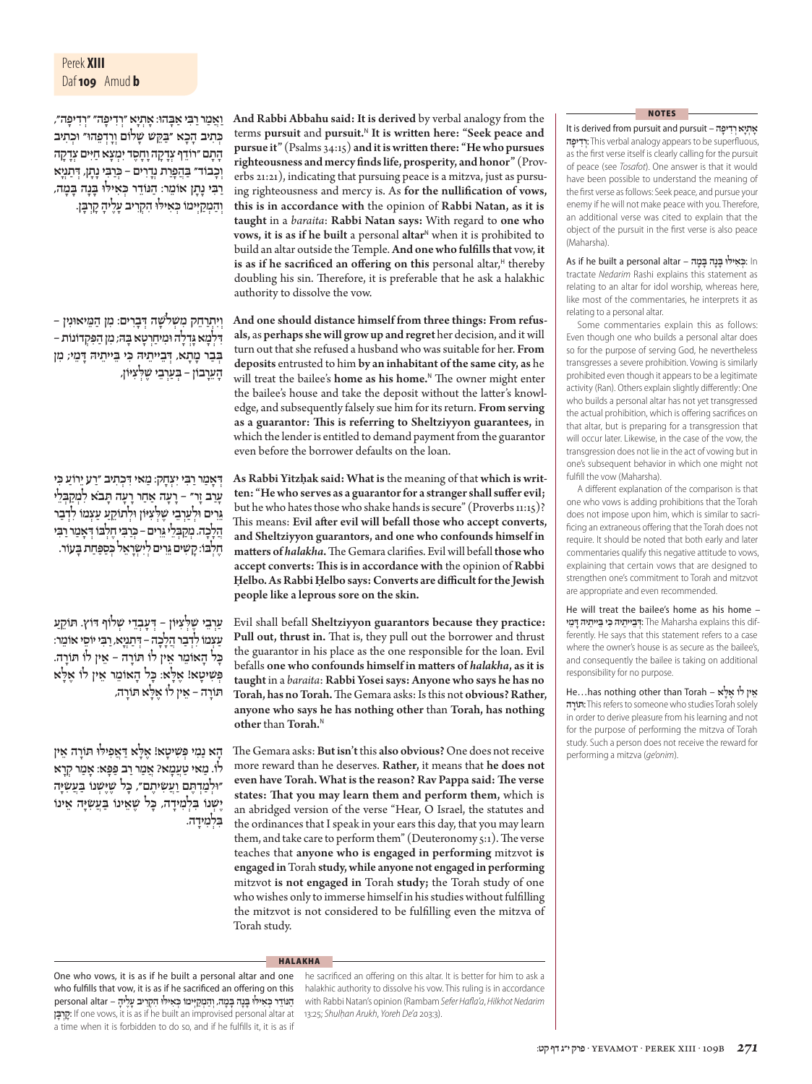# Perek **XIII** Daf **109** Amud **b**

**ַוֲאַמרַרִּבי ַאָּב ּהו: ָא ְתָיא ְ״רִד ָיפה״ ְ״רִד ָיפה״, ּכ ִתיב ָהָכא ַּ״בֵּקׁש ָׁשלוֹם ְוָרְדֵפ ּהו״ ּו ְכ ִתיב ְ ָהָתם ֵ ״רוֹדף ְצָדָקהָוָחֶסד ִי ְמָצא ַחִיּים ְצָדָקה ּכַרִּבי ָנָתן, ְ ּדַתְנָיא ְוָכבוֹד״ ַּבֲהָפַרת ְנָדִרים – ְ ּכ ִא ּיל ּו ָּבָנה ָּבָמה, ַרִּבי ָנָתן ֵאוֹמר: ַהּנֵוֹדר ְ ּכ ִא ּילּו ִה ְקִריב ָעֶל ָיה ָקְרָּבן. ְוַה ְמַקְיּימוֹ ְ**

**ְוִי ְתַרֵחק ִמׁ ְשלֹ ָׁשה ְ ּדָבִרים: ִמן ַה ֵּמ ּ יאוִנין – ִ ּד ְלָמאָּגְדָלה ּו ִמ ַיחְרָטא ָּב ּה; ִמן ַהִּפ ְקדוֹנוֹת – ּכי ֵּב ֵ יית ּיה ָּדֵמי; ִמן ְּבַבר ָמָתא, ְ ּדֵב ֵ יית ּיה ִ ָהֵעָרבוֹן – ְּבַעְרֵבי ֶׁשְּל ִציּוֹן,**

**ּכי ְ ּדָאַמרַרִּבי ִי ְצָחק: ַמאי ִ ּד ְכ ִתיב ַ״רעֵי רוֹע ִ ָעַרב ָזר״ – ָרָעה ַאַחרָרָעה ָּתבֹא ִל ְמַק ְּבֵלי ֵּגִרים ּוְלַעְרֵבי ֶׁשְּל ִציּוֹן ּוְל ֵתוֹקע ַע ְצמוֹ ִלְדַבר ּכַרִּבי ֶחְל ּבוֹ ְ ּדָאַמרַרִּבי ֲהָלָכה. ְמַק ְּבֵליֵּגִרים – ְ ּכַסַּפַחת ָּבעוֹר. ֶחְל ּבוֹ: ָקׁ ִשיםֵּגִרים ְלִי ְׂשָרֵאל ְ**

**ַעְרֵבי ֶׁשְּל ִציּוֹן – ְ ּדָע ְבֵדי ׁ ְשלוֹף ּדוֹץ. ּת ֵוֹקע ַע ְצמוֹ ִלְדַברֲהָלָכה – ְ ּדַתְנָיא, ַרִּבי ֵ יוֹסי ֵאוֹמר: ּכל ָה ֵאוֹמר ֵאין לוֹ ּתָוֹרה – ֵאין לוֹ ּתָוֹרה. ָ ּכל ָה ֵאוֹמר ֵאין לוֹ ֶאָּלא ְּפׁ ִש ָיטא! ֶאָּלא: ָ ּלא ּתָוֹרה, ּתָוֹרה – ֵאין לוֹ ֶאָ**

**ּלא ַּדֲא ִפ ּילּו ּתָוֹרה ֵאין ָהא ַנִמי ְּפׁ ִש ָיטא! ֶאָ לוֹ. ַמאי ַטֲעָמא? ֲאַמרַרב ַּפ ָּפא: ָאַמר ְקָרא ּכל ֶׁשֶיּׁ ְשנוֹ ַּבֲע ִׂשָיּה ּ״ו ְלַמְד ֶּתם ַוֲע ִׂש ֶיתם״, ָ ּכל ֶׁשֵאינוֹ ַּבֲע ִׂשָיּה ֵאינוֹ ֶי ׁ ְשנוֹ ִּב ְל ִמ ָידה, ָ ִּבְל ִמ ָידה.** 

**And Rabbi Abbahu said: It is derived** by verbal analogy from the terms pursuit and pursuit.<sup>N</sup> It is written here: "Seek peace and **pursue it"** (Psalms 34:15) and it is written there: "He who pursues **righteousness and mercy fi nds life, prosperity, and honor"** (Proverbs 21:21), indicating that pursuing peace is a mitzva, just as pursuing righteousness and mercy is. As for the nullification of vows, **this is in accordance with** the opinion of **Rabbi Natan, as it is taught** in a *baraita*: **Rabbi Natan says:** With regard to **one who vows, it is as if he built** a personal altar<sup>N</sup> when it is prohibited to build an altar outside the Temple. **And one who fulfi lls that** vow, **it is as if he sacrificed an offering on this personal altar,<sup>H</sup> thereby** doubling his sin. Therefore, it is preferable that he ask a halakhic authority to dissolve the vow.

**And one should distance himself from three things: From refusals,** as **perhaps she will grow up and regret** her decision, and itwill turn out that she refused a husband who was suitable for her. **From deposits** entrusted to him **by an inhabitant of the same city, as** he will treat the bailee's home as his home.<sup>N</sup> The owner might enter the bailee's house and take the deposit without the latter's knowledge, and subsequently falsely sue him for its return. **From serving as a guarantor: Th is is referring to Sheltziyyon guarantees,** in which the lender is entitled to demand payment from the guarantor even before the borrower defaults on the loan.

**As Rabbi Yitzĥak said: What is** the meaning of that **which is writ**ten: "He who serves as a guarantor for a stranger shall suffer evil; but he who hates those who shake hands is secure" (Proverbs 11:15)? This means: Evil after evil will befall those who accept converts, **and Sheltziyyon guarantors, and one who confounds himself in**  matters of *halakha*. The Gemara clarifies. Evil will befall those who **accept converts: Th is is in accordance with** the opinion of **Rabbi Ĥelbo. As Rabbi Ĥelbo says: Converts are diffi cult for the Jewish people like a leprous sore on the skin.** 

Evil shall befall **Sheltziyyon guarantors because they practice:**  Pull out, thrust in. That is, they pull out the borrower and thrust the guarantor in his place as the one responsible for the loan. Evil befalls one who confounds himself in matters of *halakha*, as it is **taught** in a *baraita*: **Rabbi Yosei says: Anyone who says he has no**  Torah, has no Torah. The Gemara asks: Is this not obvious? Rather, **anyone who says he has nothing other** than **Torah, has nothing other** than **Torah.**<sup>N</sup>

The Gemara asks: But isn't this also obvious? One does not receive more reward than he deserves. **Rather,** it means that **he does not even have Torah. What is the reason? Rav Pappa said: Th e verse**  states: That you may learn them and perform them, which is an abridged version of the verse "Hear, O Israel, the statutes and the ordinances that I speak in your ears this day, that you may learn them, and take care to perform them" (Deuteronomy  $\varsigma$ :1). The verse teaches that **anyone who is engaged in performing** mitzvot **is engaged in** Torah **study, while anyone not engaged in performing**  mitzvot **is not engaged in** Torah **study;** the Torah study of one who wishes only to immerse himself in his studies without fulfilling the mitzvot is not considered to be fulfilling even the mitzva of Torah study.

### **HALAKHA**

 One who vows, it is as if he built a personal altar and one who fulfills that vow, it is as if he sacrificed an offering on this הַנּוֹדֵר כְּאִילוּ בָּנָה בָּמָה, וְהַמְקַיִּימוֹ כְּאִילוּ הִקְרִיב עָלֵיהָ – personal altar **בןָּרְקָ**: If one vows, it is as if he built an improvised personal altar at a time when it is forbidden to do so, and if he fulfills it, it is as if

he sacrificed an offering on this altar. It is better for him to ask a halakhic authority to dissolve his vow. This ruling is in accordance with Rabbi Natan's opinion (Rambam *Sefer Hafla'a*, *Hilkhot Nedarim* 13:25; *Shulĥan Arukh*, *Yoreh De'a* 203:3).



 It is derived from pursuit and pursuit – **יפהָ דִרְיאָתְ אָ יפהָ דִרְ**: This verbal analogy appears to be superfluous, as the first verse itself is clearly calling for the pursuit of peace (see *Tosafot*). One answer is that it would have been possible to understand the meaning of the first verse as follows: Seek peace, and pursue your enemy if he will not make peace with you. Therefore, an additional verse was cited to explain that the object of the pursuit in the first verse is also peace (Maharsha).

**ּכ ִא ּילּו ָּבָנה ָּבָמה** – altar personal a built he if As **ְ** : In tractate *Nedarim* Rashi explains this statement as relating to an altar for idol worship, whereas here, like most of the commentaries, he interprets it as relating to a personal altar.

Some commentaries explain this as follows: Even though one who builds a personal altar does so for the purpose of serving God, he nevertheless transgresses a severe prohibition. Vowing is similarly prohibited even though it appears to be a legitimate activity (Ran). Others explain slightly differently: One who builds a personal altar has not yet transgressed the actual prohibition, which is offering sacrifices on that altar, but is preparing for a transgression that will occur later. Likewise, in the case of the vow, the transgression does not lie in the act of vowing but in one's subsequent behavior in which one might not fulfill the vow (Maharsha).

A different explanation of the comparison is that one who vows is adding prohibitions that the Torah does not impose upon him, which is similar to sacrificing an extraneous offering that the Torah does not require. It should be noted that both early and later commentaries qualify this negative attitude to vows, explaining that certain vows that are designed to strengthen one's commitment to Torah and mitzvot are appropriate and even recommended.

 He will treat the bailee's home as his home – **ּכי ֵּב ֵ יית ּיהָּדֵמי ִ יהּ יית ֵ בֵדּ ְ**: The Maharsha explains this differently. He says that this statement refers to a case where the owner's house is as secure as the bailee's, and consequently the bailee is taking on additional responsibility for no purpose.

 He…has nothing other than Torah – **לאָּאֶ לוֹ איןֵ וֹרהָתּ** : This refers to someone who studies Torah solely in order to derive pleasure from his learning and not for the purpose of performing the mitzva of Torah study. Such a person does not receive the reward for performing a mitzva (*ge'onim*).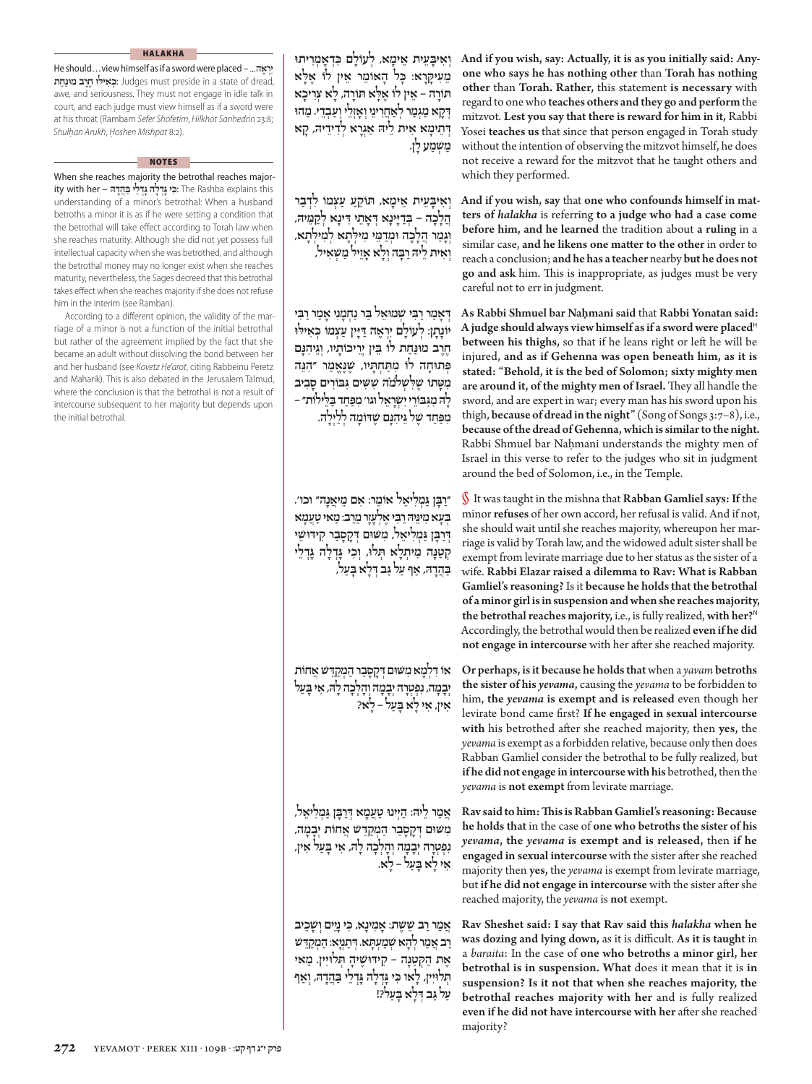## **HALAKHA**

 He should…view himself as if a sword were placed – **…אהֶרְיִ ּכ ִא ּילּו ֶחֶרב ּמוַּנַחת ְ** : Judges must preside in a state of dread, awe, and seriousness. They must not engage in idle talk in court, and each judge must view himself as if a sword were at his throat (Rambam *Sefer Shofetim*, *Hilkhot Sanhedrin* 23:8; *Shulĥan Arukh*, *Ĥoshen Mishpat* 8:2).

## **NOTES**

**When she reaches majority the betrothal reaches major-<br><b>ity with her – בְּרֶי גִּדְלֵי בַּהֲדָה** When she reaches majority the betrothal reaches majorunderstanding of a minor's betrothal: When a husband betroths a minor it is as if he were setting a condition that the betrothal will take effect according to Torah law when she reaches maturity. Although she did not yet possess full intellectual capacity when she was betrothed, and although the betrothal money may no longer exist when she reaches maturity, nevertheless, the Sages decreed that this betrothal takes effect when she reaches majority if she does not refuse him in the interim (see Ramban).

According to a different opinion, the validity of the marriage of a minor is not a function of the initial betrothal but rather of the agreement implied by the fact that she became an adult without dissolving the bond between her and her husband (see *Kovetz He'arot*, citing Rabbeinu Peretz and Maharik). This is also debated in the Jerusalem Talmud, where the conclusion is that the betrothal is not a result of intercourse subsequent to her majority but depends upon the initial betrothal.

**יְאִיבָּעֵית אֵימָא, לְעוֹלַם בְּדָאָמְרִיתוּ ּכל ָה ֵאוֹמר ֵאין לוֹ ֶאָּלא ֵמ ִע ָּיקָרא: ָ ּתָוֹרה – ֵאין לוֹ ֶאָּלא ּתָוֹרה, ָלא ְצִר ָיכא ְ ּדָקא ַמְגַמר ְלַאֲחִרֵיני ְוָאְזֵלי ְוַע ְבֵדי. ַמ ּהו ְ ּדֵת ָימא ִאית ֵל ּיה ַאְגָרא ְלִד ֵיד ּיה, ָקא ַמׁ ְשַמע ָלן.**

**ְו ִא ָּיבֵעית ֵא ָימא, ּת ֵוֹקע ַע ְצמוֹ ִלְדַבר ֲהָלָכה – ְּבַדָיּ ָינא ְ ּדָאֵתי ִ ּד ָינא ְלַק ֵּמ ּיה, ְוָגַמר ֲהָלָכה ּו ְמַד ֵּמי ִמ ְּילָתא ְל ִמ ְּילָתא, ְו ִאית ֵל ּיהַרָּבה ְוָלא ָאֵזיל ַמׁ ְש ִאיל,** 

**ְ ּדָאַמרַרִּבי ׁ ְש ּמוֵאל ַּבר ַנ ְחָמִני ָאַמרַרִּבי ּכ ִא ּילּו ָ יוֹנָתן: ְל ָעוֹלם ִיְרֶאה ַּדָיּין ַע ְצמוֹ ְ ֶחֶרב ּמוַּנַחת לוֹ ֵּבין ְיֵר ָ יכוֹתיו, ְוֵג ִיהָּנם ְּפ ּתוָחה לוֹ ִמ ַּת ְח ָּתיו, ֶׁשֶּנֱאַמר ִ״הֵּנה ִמ ָּטתוֹ ֶׁשִּל ׁ ְשלֹמֹה ׁ ִשִּׁשים ִּג ּב ִוֹרים ָס ִביב ּלילוֹת״ – ָל ּה ִמִּג ּבֵוֹרי ִי ְׂשָרֵאל וגו׳ ִמַּפַחד ַּבֵ ִמַּפַחד ֶׁשל ֵּג ִיהָּנם ֶׁש ּד ָוֹמה ְלַלְיָלה.**

**ַ״רָּבן ַּג ְמִל ֵיאל ֵאוֹמר: ִאם ֵמ ֲיאָנה״ וכו׳. ְּבָעא ִמ ֵּינ ּיהַרִּבי ֶאְלָעָזרֵמַרב: ַמאי ַטֲעָמא ְ ּדַרָּבן ַּג ְמִל ֵיאל, ִמּׁשּום ְ ּדָקָסַבר ִק ּידּו ֵׁשי ְקַטָּנה ִמ ְיתָלא ְּת ּלו, ְו ִכי ָּגְדָלה ָּגְדֵלי ַּבֲהָד ּה, ַאף ַעל ַּגב ְ ּדָלא ָּבַעל,** 

**אוֹ ִ ּד ְלָמא ִמּׁשּום ְ ּדָקָסַבר ַה ְמַקֵּד ׁשֲאחוֹת ְיָבָמה, ִנְפ ְטָרה ְיָבָמה ְוָהְלָכה ָל ּה, ִאי ָּבַעל ִאין, ִאי ָלא ָּבַעל – ָלא?** 

**ֲאַמר ֵל ּיה: ַהְי ּ ינו ַטֲעָמא ְ ּדַרָּבן ַּג ְמִל ֵיאל, ִמּׁשּום ְ ּדָקָסַבר ַה ְמַקֵּד ׁש ֲאחוֹת ְיָבָמה, ִנְפ ְטָרה ְיָבָמה ְוָה ְלָכה ָל ּה, ִאי ָּבַעל ִאין, ִאי ָלא ָּבַעל – ָלא.**

**ּכי ָנֵיים ְו ָׁשֵכיב ֲאַמרַרב ֵׁשֶׁשת: ָא ִמ ָינא, ִ ַרבֲאַמר ְלָהא ׁ ְשַמ ְע ָּתא. ְ ּדַתְנָיא: ַה ְמַקֵּד ׁש ֶאת ַה ְּקַטָּנה – ִק ּידּו ֶׁש ָיה ְּת ּלוִיין. ַמאי ּכי ָּגְדָלה ָּגְדֵלי ַּבֲהָד ּה, ְוַאף ְּת ּלוִיין, ָלאו ִ ַעל ַּגב ְ ּדָלא ָּבַעל?!** 

**And if you wish, say: Actually, it is as you initially said: Anyone who says he has nothing other** than **Torah has nothing other** than **Torah. Rather,** this statement **is necessary** with regard to one who **teaches others and they go and perform** the mitzvot. **Lest you say that there is reward for him in it,** Rabbi Yosei **teaches us** that since that person engaged in Torah study without the intention of observing the mitzvot himself, he does not receive a reward for the mitzvot that he taught others and which they performed.

**And if you wish, say** that **one who confounds himself in matters of** *halakha* is referring **to a judge who had a case come before him, and he learned** the tradition about **a ruling** in a similar case, and he likens one matter to the other in order to reach a conclusion; **and he has a teacher** nearby **but he does not**  go and ask him. This is inappropriate, as judges must be very careful not to err in judgment.

**As Rabbi Shmuel bar Naĥmani said** that **Rabbi Yonatan said: A judge should always view himself as if a sword were placed**<sup>H</sup> **between his thighs,** so that if he leans right or left he will be injured, **and as if Gehenna was open beneath him, as it is stated: "Behold, it is the bed of Solomon; sixty mighty men**  are around it, of the mighty men of Israel. They all handle the sword, and are expert in war; every man has his sword upon his thigh, **because of dread in the night**" (Song of Songs 3:7-8), i.e., **because of the dread of Gehenna, which is similar to the night.**  Rabbi Shmuel bar Naĥmani understands the mighty men of Israel in this verse to refer to the judges who sit in judgment around the bed of Solomon, i.e., in the Temple.

§ It was taught in the mishna that **Rabban Gamliel says: If** the minor **refuses** of her own accord, her refusal is valid. And if not, she should wait until she reaches majority, whereupon her marriage is valid by Torah law, and the widowed adult sister shall be exempt from levirate marriage due to her status as the sister of a wife. **Rabbi Elazar raised a dilemma to Rav: What is Rabban Gamliel's reasoning?** Is it **because he holds that the betrothal of a minor girl is in suspension and when she reaches majority, the betrothal reaches majority,** i.e., is fully realized, **with her?**<sup>N</sup> Accordingly, the betrothal would then be realized **even if he did**  not engage in intercourse with her after she reached majority.

**Or perhaps, is it because he holds that** when a *yavam* **betroths the sister of his** *yevama***,** causing the *yevama* to be forbidden to him, **the** *yevama* **is exempt and is released** even though her levirate bond came first? If he engaged in sexual intercourse with his betrothed after she reached majority, then yes, the *yevama* is exempt as a forbidden relative, because only then does Rabban Gamliel consider the betrothal to be fully realized, but **if he did not engage in intercourse with his** betrothed, then the *yevama* is **not exempt** from levirate marriage.

**Rav said to him: Th is is Rabban Gamliel's reasoning: Because he holds that** in the case of **one who betroths the sister of his**  *yevama***, the** *yevama* **is exempt and is released,** then **if he**  engaged in sexual intercourse with the sister after she reached majority then **yes,** the *yevama* is exempt from levirate marriage, but if he did not engage in intercourse with the sister after she reached majority, the *yevama* is **not** exempt.

**Rav Sheshet said: I say that Rav said this** *halakha* **when he**  was dozing and lying down, as it is difficult. As it is taught in a *baraita*: In the case of **one who betroths a minor girl, her betrothal is in suspension. What** does it mean that it is **in suspension? Is it not that when she reaches majority, the betrothal reaches majority with her** and is fully realized even if he did not have intercourse with her after she reached majority?